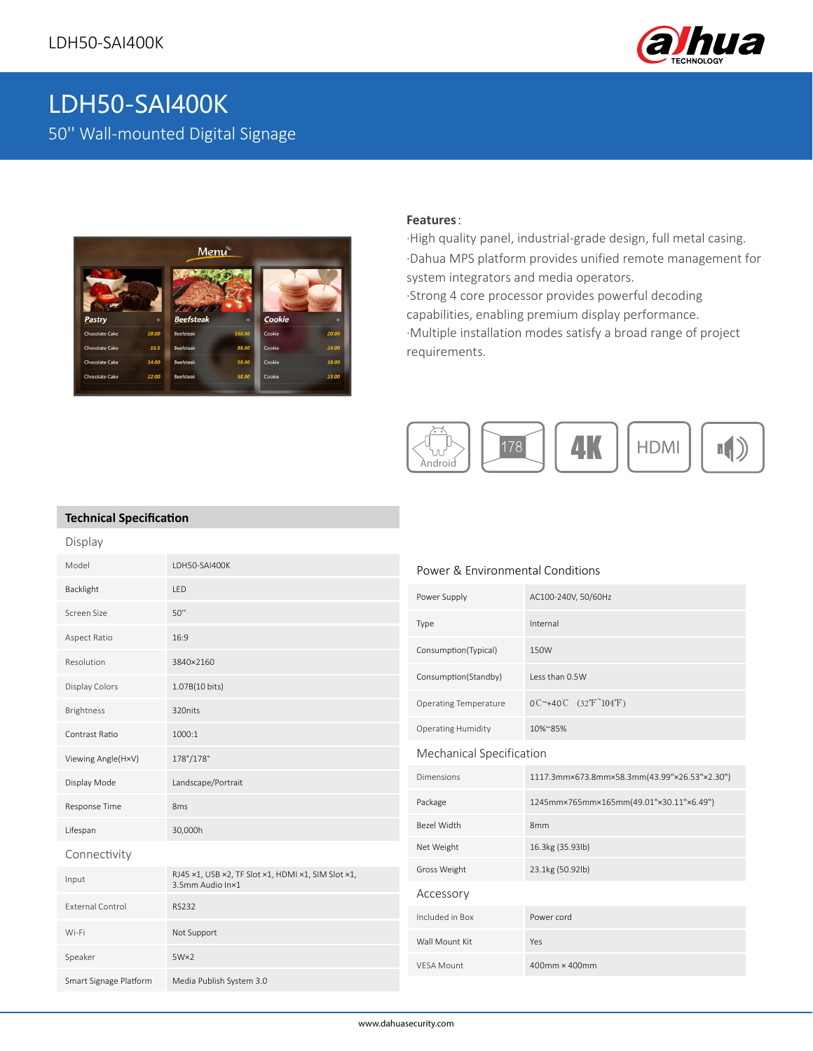

# LDH50-SAI400K 50'' Wall-mounted Digital Signage



### **Features**:

·High quality panel, industrial-grade design, full metal casing. ·Dahua MPS platform provides unified remote management for system integrators and media operators. ·Strong 4 core processor provides powerful decoding capabilities, enabling premium display performance. ·Multiple installation modes satisfy a broad range of project requirements.



#### **Technical Specification**

| Display                 |                                                                        |                                  |                                                           |
|-------------------------|------------------------------------------------------------------------|----------------------------------|-----------------------------------------------------------|
| Model                   | LDH50-SAI400K                                                          | Power & Environmental Conditions |                                                           |
| Backlight               | LED                                                                    | Power Supply                     | AC100-240V, 50/60Hz                                       |
| Screen Size             | $50$ "                                                                 | Type                             | Internal                                                  |
| Aspect Ratio            | 16:9                                                                   | Consumption(Typical)             | 150W                                                      |
| Resolution              | 3840×2160                                                              |                                  |                                                           |
| Display Colors          | 1.07B(10 bits)                                                         | Consumption(Standby)             | Less than 0.5W                                            |
| Brightness              | 320nits                                                                | <b>Operating Temperature</b>     | $0C^{\sim}+40C$ (32°F <sup><math>\sim</math></sup> 104°F) |
| Contrast Ratio          | 1000:1                                                                 | <b>Operating Humidity</b>        | 10%~85%                                                   |
| Viewing Angle(H×V)      | 178°/178°                                                              | Mechanical Specification         |                                                           |
| Display Mode            | Landscape/Portrait                                                     | <b>Dimensions</b>                | 1117.3mm×673.8mm×58.3mm(43.99"×26.53"×2.30")              |
| Response Time           | 8 <sub>ms</sub>                                                        | Package                          | 1245mm×765mm×165mm(49.01"×30.11"×6.49")                   |
| Lifespan                | 30,000h                                                                | Bezel Width                      | 8 <sub>mm</sub>                                           |
| Connectivity            |                                                                        | Net Weight                       | 16.3kg (35.93lb)                                          |
| Input                   | RJ45 x1, USB x2, TF Slot x1, HDMI x1, SIM Slot x1,<br>3.5mm Audio In×1 | Gross Weight                     | 23.1kg (50.92lb)                                          |
| <b>External Control</b> | <b>RS232</b>                                                           | Accessory                        |                                                           |
|                         |                                                                        | Included in Box                  | Power cord                                                |
| Wi-Fi                   | Not Support                                                            | Wall Mount Kit                   | Yes                                                       |
| Speaker                 | $5W\times2$                                                            | <b>VESA Mount</b>                | 400mm × 400mm                                             |
| Smart Signage Platform  | Media Publish System 3.0                                               |                                  |                                                           |